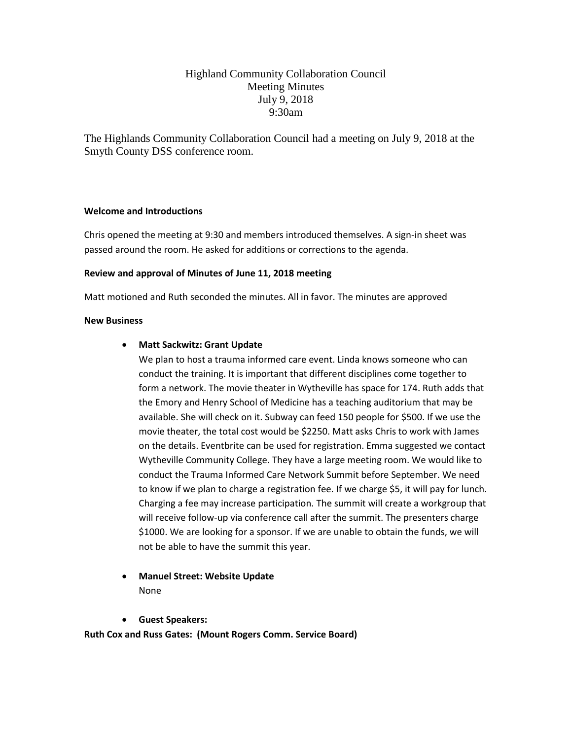# Highland Community Collaboration Council Meeting Minutes July 9, 2018 9:30am

The Highlands Community Collaboration Council had a meeting on July 9, 2018 at the Smyth County DSS conference room.

#### **Welcome and Introductions**

Chris opened the meeting at 9:30 and members introduced themselves. A sign-in sheet was passed around the room. He asked for additions or corrections to the agenda.

#### **Review and approval of Minutes of June 11, 2018 meeting**

Matt motioned and Ruth seconded the minutes. All in favor. The minutes are approved

#### **New Business**

#### • **Matt Sackwitz: Grant Update**

We plan to host a trauma informed care event. Linda knows someone who can conduct the training. It is important that different disciplines come together to form a network. The movie theater in Wytheville has space for 174. Ruth adds that the Emory and Henry School of Medicine has a teaching auditorium that may be available. She will check on it. Subway can feed 150 people for \$500. If we use the movie theater, the total cost would be \$2250. Matt asks Chris to work with James on the details. Eventbrite can be used for registration. Emma suggested we contact Wytheville Community College. They have a large meeting room. We would like to conduct the Trauma Informed Care Network Summit before September. We need to know if we plan to charge a registration fee. If we charge \$5, it will pay for lunch. Charging a fee may increase participation. The summit will create a workgroup that will receive follow-up via conference call after the summit. The presenters charge \$1000. We are looking for a sponsor. If we are unable to obtain the funds, we will not be able to have the summit this year.

## • **Manuel Street: Website Update** None

• **Guest Speakers:** 

**Ruth Cox and Russ Gates: (Mount Rogers Comm. Service Board)**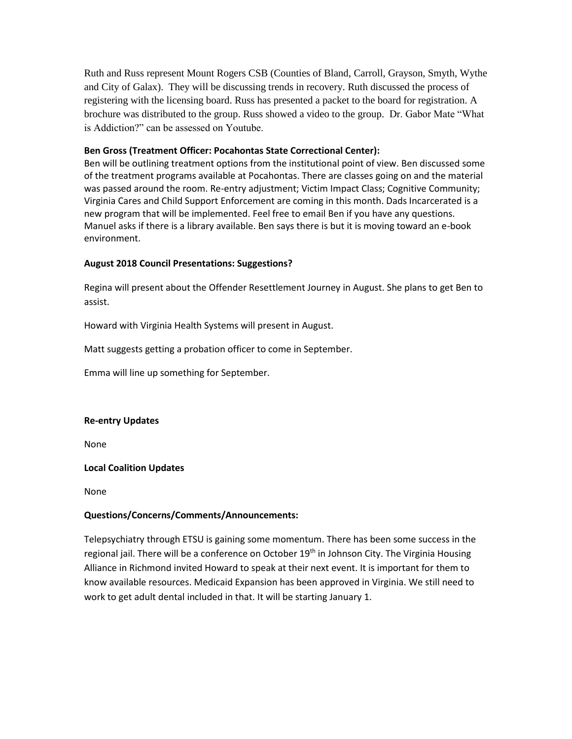Ruth and Russ represent Mount Rogers CSB (Counties of Bland, Carroll, Grayson, Smyth, Wythe and City of Galax). They will be discussing trends in recovery. Ruth discussed the process of registering with the licensing board. Russ has presented a packet to the board for registration. A brochure was distributed to the group. Russ showed a video to the group. Dr. Gabor Mate "What is Addiction?" can be assessed on Youtube.

### **Ben Gross (Treatment Officer: Pocahontas State Correctional Center):**

Ben will be outlining treatment options from the institutional point of view. Ben discussed some of the treatment programs available at Pocahontas. There are classes going on and the material was passed around the room. Re-entry adjustment; Victim Impact Class; Cognitive Community; Virginia Cares and Child Support Enforcement are coming in this month. Dads Incarcerated is a new program that will be implemented. Feel free to email Ben if you have any questions. Manuel asks if there is a library available. Ben says there is but it is moving toward an e-book environment.

### **August 2018 Council Presentations: Suggestions?**

Regina will present about the Offender Resettlement Journey in August. She plans to get Ben to assist.

Howard with Virginia Health Systems will present in August.

Matt suggests getting a probation officer to come in September.

Emma will line up something for September.

#### **Re-entry Updates**

None

#### **Local Coalition Updates**

None

#### **Questions/Concerns/Comments/Announcements:**

Telepsychiatry through ETSU is gaining some momentum. There has been some success in the regional jail. There will be a conference on October 19<sup>th</sup> in Johnson City. The Virginia Housing Alliance in Richmond invited Howard to speak at their next event. It is important for them to know available resources. Medicaid Expansion has been approved in Virginia. We still need to work to get adult dental included in that. It will be starting January 1.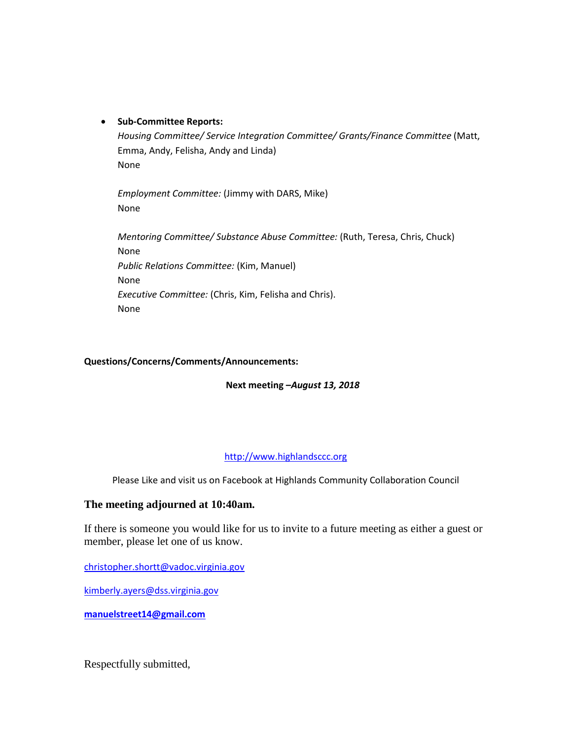### • **Sub-Committee Reports:**

*Housing Committee/ Service Integration Committee/ Grants/Finance Committee* (Matt, Emma, Andy, Felisha, Andy and Linda) None

*Employment Committee:* (Jimmy with DARS, Mike) None

*Mentoring Committee/ Substance Abuse Committee:* (Ruth, Teresa, Chris, Chuck) None *Public Relations Committee:* (Kim, Manuel) None *Executive Committee:* (Chris, Kim, Felisha and Chris). None

#### **Questions/Concerns/Comments/Announcements:**

**Next meeting –***August 13, 2018* 

## [http://www.highlandsccc.org](http://www.highlandsccc.org/)

Please Like and visit us on Facebook at Highlands Community Collaboration Council

## **The meeting adjourned at 10:40am.**

If there is someone you would like for us to invite to a future meeting as either a guest or member, please let one of us know.

[christopher.shortt@vadoc.virginia.gov](mailto:christopher.shortt@vadoc.virginia.gov)

[kimberly.ayers@dss.virginia.gov](mailto:kimberly.ayers@dss.virginia.gov)

**[manuelstreet14@gmail.com](mailto:manuelstreet14@gmail.com)**

Respectfully submitted,